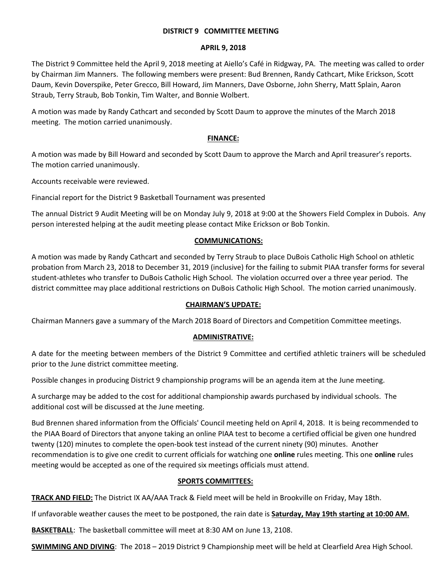### **DISTRICT 9 COMMITTEE MEETING**

### **APRIL 9, 2018**

The District 9 Committee held the April 9, 2018 meeting at Aiello's Café in Ridgway, PA. The meeting was called to order by Chairman Jim Manners. The following members were present: Bud Brennen, Randy Cathcart, Mike Erickson, Scott Daum, Kevin Doverspike, Peter Grecco, Bill Howard, Jim Manners, Dave Osborne, John Sherry, Matt Splain, Aaron Straub, Terry Straub, Bob Tonkin, Tim Walter, and Bonnie Wolbert.

A motion was made by Randy Cathcart and seconded by Scott Daum to approve the minutes of the March 2018 meeting. The motion carried unanimously.

## **FINANCE:**

A motion was made by Bill Howard and seconded by Scott Daum to approve the March and April treasurer's reports. The motion carried unanimously.

Accounts receivable were reviewed.

Financial report for the District 9 Basketball Tournament was presented

The annual District 9 Audit Meeting will be on Monday July 9, 2018 at 9:00 at the Showers Field Complex in Dubois. Any person interested helping at the audit meeting please contact Mike Erickson or Bob Tonkin.

# **COMMUNICATIONS:**

A motion was made by Randy Cathcart and seconded by Terry Straub to place DuBois Catholic High School on athletic probation from March 23, 2018 to December 31, 2019 (inclusive) for the failing to submit PIAA transfer forms for several student-athletes who transfer to DuBois Catholic High School. The violation occurred over a three year period. The district committee may place additional restrictions on DuBois Catholic High School. The motion carried unanimously.

### **CHAIRMAN'S UPDATE:**

Chairman Manners gave a summary of the March 2018 Board of Directors and Competition Committee meetings.

### **ADMINISTRATIVE:**

A date for the meeting between members of the District 9 Committee and certified athletic trainers will be scheduled prior to the June district committee meeting.

Possible changes in producing District 9 championship programs will be an agenda item at the June meeting.

A surcharge may be added to the cost for additional championship awards purchased by individual schools. The additional cost will be discussed at the June meeting.

Bud Brennen shared information from the Officials' Council meeting held on April 4, 2018. It is being recommended to the PIAA Board of Directors that anyone taking an online PIAA test to become a certified official be given one hundred twenty (120) minutes to complete the open-book test instead of the current ninety (90) minutes. Another recommendation is to give one credit to current officials for watching one **online** rules meeting. This one **online** rules meeting would be accepted as one of the required six meetings officials must attend.

# **SPORTS COMMITTEES:**

**TRACK AND FIELD:** The District IX AA/AAA Track & Field meet will be held in Brookville on Friday, May 18th.

If unfavorable weather causes the meet to be postponed, the rain date is **Saturday, May 19th starting at 10:00 AM.**

**BASKETBALL**: The basketball committee will meet at 8:30 AM on June 13, 2108.

**SWIMMING AND DIVING**: The 2018 – 2019 District 9 Championship meet will be held at Clearfield Area High School.